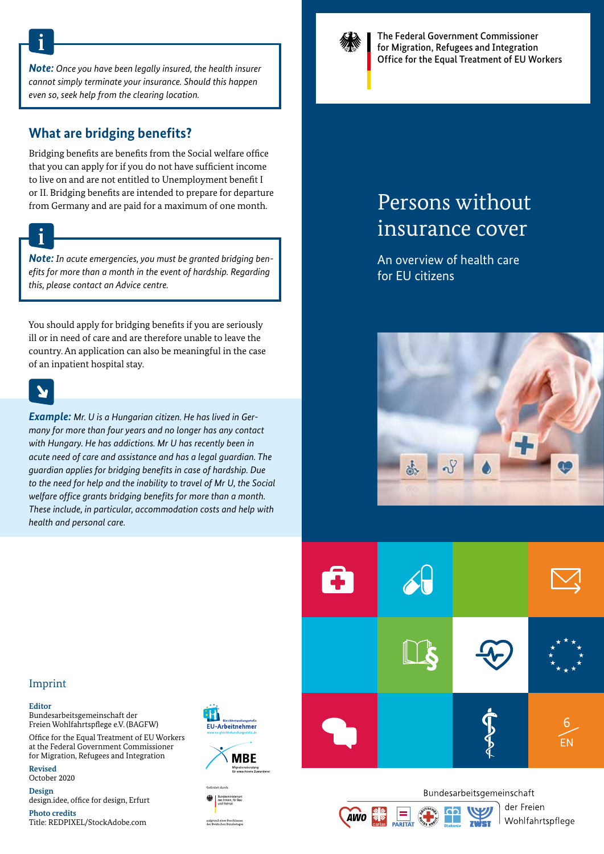*Note: Once you have been legally insured, the health insurer cannot simply terminate your insurance. Should this happen even so, seek help from the clearing location.*

### **What are bridging benefits?**

Bridging benefits are benefits from the Social welfare office that you can apply for if you do not have sufficient income to live on and are not entitled to Unemployment benefit I or II. Bridging benefits are intended to prepare for departure from Germany and are paid for a maximum of one month.

*Note: In acute emergencies, you must be granted bridging benefits for more than a month in the event of hardship. Regarding this, please contact an Advice centre.*

You should apply for bridging benefits if you are seriously ill or in need of care and are therefore unable to leave the country. An application can also be meaningful in the case of an inpatient hospital stay.

*Example: Mr. U is a Hungarian citizen. He has lived in Germany for more than four years and no longer has any contact with Hungary. He has addictions. Mr U has recently been in acute need of care and assistance and has a legal guardian. The guardian applies for bridging benefits in case of hardship. Due to the need for help and the inability to travel of Mr U, the Social welfare office grants bridging benefits for more than a month. These include, in particular, accommodation costs and help with health and personal care.* 



The Federal Government Commissioner for Migration, Refugees and Integration Office for the Equal Treatment of EU Workers

# Persons without insurance cover

An overview of health care for EU citizens





**AWO** 

der Freien

Wohlfahrtspflege

#### Imprint

**Editor**

Bundesarbeitsgemeinschaft der Freien Wohlfahrtspflege e.V. (BAGFW)

Office for the Equal Treatment of EU Workers at the Federal Government Commissioner for Migration, Refugees and Integration

**Revised**

October 2020 **Design**

design.idee, office for design, Erfurt

**Photo credits** Title: REDPIXEL/StockAdobe.com